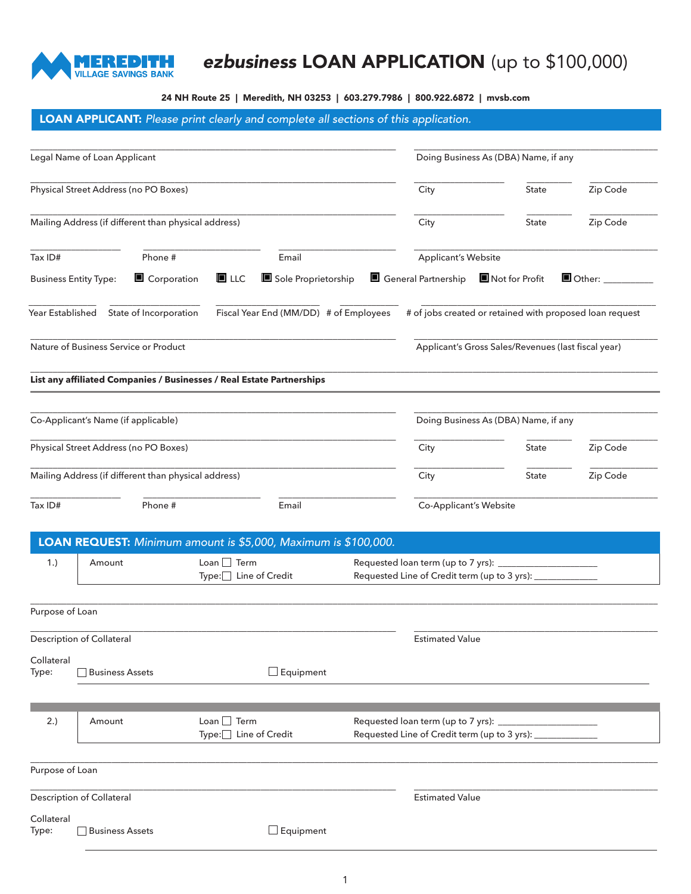

# *ezbusiness* LOAN APPLICATION (up to \$100,000)

24 NH Route 25 | Meredith, NH 03253 | 603.279.7986 | 800.922.6872 | [mvsb.com](http://www.mvsb.com)

## LOAN APPLICANT: *Please print clearly and complete all sections of this application.*

|                                       | Legal Name of Loan Applicant                                          |                                      |                                        |  |                                                                                      |                                                          |                            |  |
|---------------------------------------|-----------------------------------------------------------------------|--------------------------------------|----------------------------------------|--|--------------------------------------------------------------------------------------|----------------------------------------------------------|----------------------------|--|
|                                       |                                                                       |                                      |                                        |  | Doing Business As (DBA) Name, if any                                                 |                                                          |                            |  |
| Physical Street Address (no PO Boxes) |                                                                       |                                      |                                        |  | City                                                                                 | State                                                    | Zip Code                   |  |
|                                       | Mailing Address (if different than physical address)                  |                                      |                                        |  | City                                                                                 | State                                                    | Zip Code                   |  |
| Tax ID#                               | Phone #                                                               |                                      | Email                                  |  | <b>Applicant's Website</b>                                                           |                                                          |                            |  |
|                                       | <b>Business Entity Type:</b><br>Corporation                           | $\blacksquare$ LLC                   | Sole Proprietorship                    |  | General Partnership IN ot for Profit                                                 |                                                          | $\blacksquare$ Other: $\_$ |  |
| Year Established                      | State of Incorporation                                                |                                      | Fiscal Year End (MM/DD) # of Employees |  |                                                                                      | # of jobs created or retained with proposed loan request |                            |  |
|                                       | Nature of Business Service or Product                                 |                                      |                                        |  |                                                                                      | Applicant's Gross Sales/Revenues (last fiscal year)      |                            |  |
|                                       | List any affiliated Companies / Businesses / Real Estate Partnerships |                                      |                                        |  |                                                                                      |                                                          |                            |  |
|                                       | Co-Applicant's Name (if applicable)                                   |                                      |                                        |  |                                                                                      | Doing Business As (DBA) Name, if any                     |                            |  |
|                                       | Physical Street Address (no PO Boxes)                                 |                                      |                                        |  | City                                                                                 | State                                                    | Zip Code                   |  |
|                                       | Mailing Address (if different than physical address)                  |                                      |                                        |  | City                                                                                 | State                                                    | Zip Code                   |  |
| Tax ID#                               | Phone #                                                               |                                      | Email                                  |  | Co-Applicant's Website                                                               |                                                          |                            |  |
|                                       | LOAN REQUEST: Minimum amount is \$5,000, Maximum is \$100,000.        |                                      |                                        |  |                                                                                      |                                                          |                            |  |
| 1.)                                   | Amount                                                                | $Lean$ Term<br>Type:□ Line of Credit |                                        |  | Requested loan term (up to 7 yrs):<br>Requested Line of Credit term (up to 3 yrs):   |                                                          |                            |  |
| Purpose of Loan                       |                                                                       |                                      |                                        |  |                                                                                      |                                                          |                            |  |
|                                       | Description of Collateral                                             |                                      |                                        |  | <b>Estimated Value</b>                                                               |                                                          |                            |  |
| Collateral<br>Type:                   | <b>Business Assets</b>                                                |                                      | $\Box$ Equipment                       |  |                                                                                      |                                                          |                            |  |
| 2.)                                   | Amount                                                                | $Lean$ Term<br>Type: Line of Credit  |                                        |  | Requested loan term (up to 7 yrs):<br>Requested Line of Credit term (up to 3 yrs): _ |                                                          |                            |  |
|                                       |                                                                       |                                      |                                        |  |                                                                                      |                                                          |                            |  |
| Purpose of Loan                       |                                                                       |                                      |                                        |  |                                                                                      |                                                          |                            |  |
|                                       | Description of Collateral                                             |                                      |                                        |  | <b>Estimated Value</b>                                                               |                                                          |                            |  |
| Collateral<br>Type:                   | <b>Business Assets</b>                                                |                                      | $\Box$ Equipment                       |  |                                                                                      |                                                          |                            |  |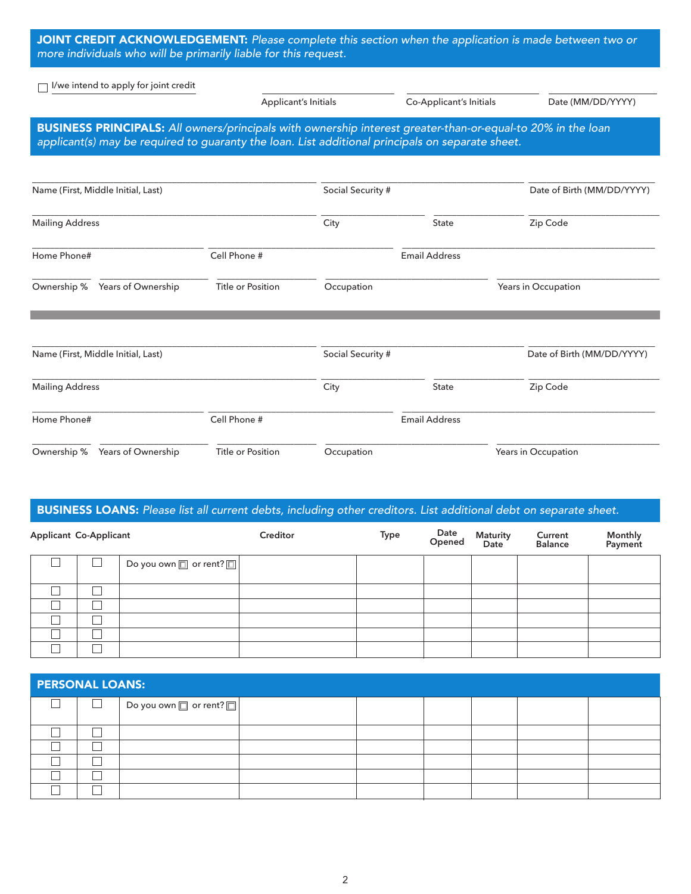| JOINT CREDIT ACKNOWLEDGEMENT: Please complete this section when the application is made between two or |  |
|--------------------------------------------------------------------------------------------------------|--|
| more individuals who will be primarily liable for this request.                                        |  |

Applicant's Initials Co-Applicant's Initials Date (MM/DD/YYYY)

□ <u>I/we intend to apply for joint credit</u>

| BUSINESS PRINCIPALS: All owners/principals with ownership interest greater-than-or-equal-to 20% in the loan |
|-------------------------------------------------------------------------------------------------------------|
|                                                                                                             |
| applicant(s) may be required to guaranty the loan. List additional principals on separate sheet.            |

| Name (First, Middle Initial, Last)                     | Social Security # |                   | Date of Birth (MM/DD/YYYY) |                            |  |
|--------------------------------------------------------|-------------------|-------------------|----------------------------|----------------------------|--|
| <b>Mailing Address</b>                                 | City              | <b>State</b>      | Zip Code                   |                            |  |
| Home Phone#                                            | Cell Phone #      |                   | <b>Email Address</b>       |                            |  |
| Ownership %<br>Years of Ownership                      | Title or Position | Occupation        |                            | Years in Occupation        |  |
| Name (First, Middle Initial, Last)                     |                   | Social Security # |                            | Date of Birth (MM/DD/YYYY) |  |
| <b>Mailing Address</b>                                 |                   | City<br>State     |                            | Zip Code                   |  |
| Cell Phone #<br>Home Phone#                            |                   |                   | <b>Email Address</b>       |                            |  |
| Ownership %<br>Years of Ownership<br>Title or Position |                   | Occupation        |                            | Years in Occupation        |  |

## BUSINESS LOANS: *Please list all current debts, including other creditors. List additional debt on separate sheet.*

| <b>Applicant Co-Applicant</b> |                |                                   | Creditor | Type | Date<br>Opened | Maturity<br>Date | <b>Current</b><br>Balance | <b>Monthly</b><br>Payment |
|-------------------------------|----------------|-----------------------------------|----------|------|----------------|------------------|---------------------------|---------------------------|
|                               | $\blacksquare$ | Do you own $\Box$ or rent? $\Box$ |          |      |                |                  |                           |                           |
|                               |                |                                   |          |      |                |                  |                           |                           |
|                               |                |                                   |          |      |                |                  |                           |                           |
|                               |                |                                   |          |      |                |                  |                           |                           |
|                               |                |                                   |          |      |                |                  |                           |                           |
|                               |                |                                   |          |      |                |                  |                           |                           |

| <b>PERSONAL LOANS:</b> |        |                                   |  |  |  |  |  |  |
|------------------------|--------|-----------------------------------|--|--|--|--|--|--|
|                        | $\Box$ | Do you own $\Box$ or rent? $\Box$ |  |  |  |  |  |  |
|                        |        |                                   |  |  |  |  |  |  |
|                        |        |                                   |  |  |  |  |  |  |
|                        |        |                                   |  |  |  |  |  |  |
|                        |        |                                   |  |  |  |  |  |  |
|                        |        |                                   |  |  |  |  |  |  |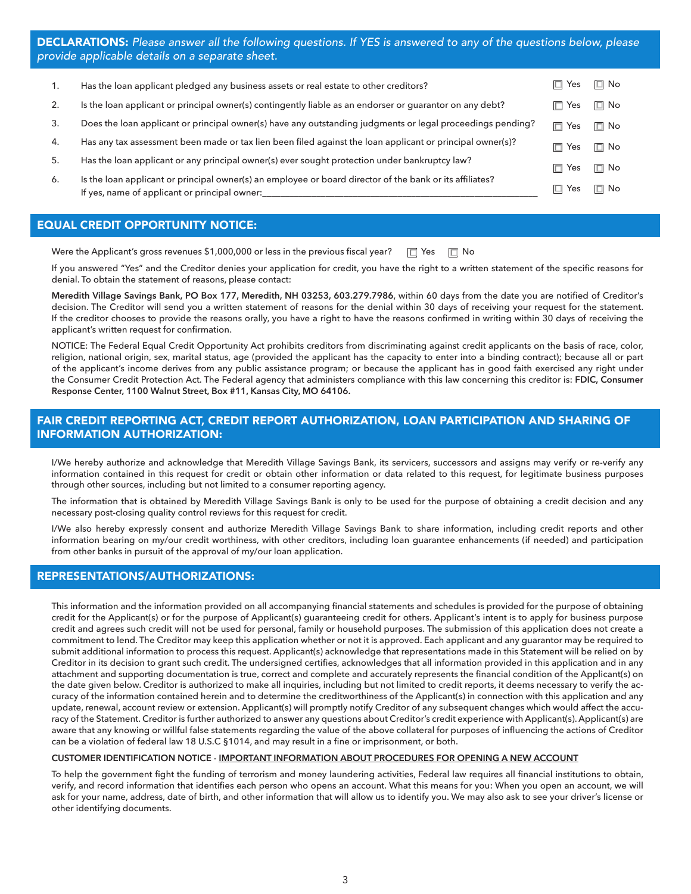| 1. | Has the loan applicant pledged any business assets or real estate to other creditors?                                                                     | Yes        | $\Box$ No |
|----|-----------------------------------------------------------------------------------------------------------------------------------------------------------|------------|-----------|
| 2. | Is the loan applicant or principal owner(s) contingently liable as an endorser or quarantor on any debt?                                                  | Yes        | $\Box$ No |
| 3. | Does the loan applicant or principal owner(s) have any outstanding judgments or legal proceedings pending?                                                | $\Box$ Yes | $\Box$ No |
| 4. | Has any tax assessment been made or tax lien been filed against the loan applicant or principal owner(s)?                                                 | Yes        | $\Box$ No |
| 5. | Has the loan applicant or any principal owner(s) ever sought protection under bankruptcy law?                                                             | Yes        | $\Box$ No |
| 6. | Is the loan applicant or principal owner(s) an employee or board director of the bank or its affiliates?<br>If yes, name of applicant or principal owner: | Yes        | I⊡ No     |

#### EQUAL CREDIT OPPORTUNITY NOTICE:

Were the Applicant's gross revenues \$1,000,000 or less in the previous fiscal year?  $\Box$  Yes  $\Box$  No

If you answered "Yes" and the Creditor denies your application for credit, you have the right to a written statement of the specific reasons for denial. To obtain the statement of reasons, please contact:

**Meredith Village Savings Bank, PO Box 177, Meredith, NH 03253, 603.279.7986**, within 60 days from the date you are notified of Creditor's decision. The Creditor will send you a written statement of reasons for the denial within 30 days of receiving your request for the statement. If the creditor chooses to provide the reasons orally, you have a right to have the reasons confirmed in writing within 30 days of receiving the applicant's written request for confirmation.

NOTICE: The Federal Equal Credit Opportunity Act prohibits creditors from discriminating against credit applicants on the basis of race, color, religion, national origin, sex, marital status, age (provided the applicant has the capacity to enter into a binding contract); because all or part of the applicant's income derives from any public assistance program; or because the applicant has in good faith exercised any right under the Consumer Credit Protection Act. The Federal agency that administers compliance with this law concerning this creditor is: **FDIC, Consumer Response Center, 1100 Walnut Street, Box #11, Kansas City, MO 64106.**

#### FAIR CREDIT REPORTING ACT, CREDIT REPORT AUTHORIZATION, LOAN PARTICIPATION AND SHARING OF INFORMATION AUTHORIZATION:

I/We hereby authorize and acknowledge that Meredith Village Savings Bank, its servicers, successors and assigns may verify or re-verify any information contained in this request for credit or obtain other information or data related to this request, for legitimate business purposes through other sources, including but not limited to a consumer reporting agency.

The information that is obtained by Meredith Village Savings Bank is only to be used for the purpose of obtaining a credit decision and any necessary post-closing quality control reviews for this request for credit.

I/We also hereby expressly consent and authorize Meredith Village Savings Bank to share information, including credit reports and other information bearing on my/our credit worthiness, with other creditors, including loan guarantee enhancements (if needed) and participation from other banks in pursuit of the approval of my/our loan application.

#### REPRESENTATIONS/AUTHORIZATIONS:

This information and the information provided on all accompanying financial statements and schedules is provided for the purpose of obtaining credit for the Applicant(s) or for the purpose of Applicant(s) guaranteeing credit for others. Applicant's intent is to apply for business purpose credit and agrees such credit will not be used for personal, family or household purposes. The submission of this application does not create a commitment to lend. The Creditor may keep this application whether or not it is approved. Each applicant and any guarantor may be required to submit additional information to process this request. Applicant(s) acknowledge that representations made in this Statement will be relied on by Creditor in its decision to grant such credit. The undersigned certifies, acknowledges that all information provided in this application and in any attachment and supporting documentation is true, correct and complete and accurately represents the financial condition of the Applicant(s) on the date given below. Creditor is authorized to make all inquiries, including but not limited to credit reports, it deems necessary to verify the accuracy of the information contained herein and to determine the creditworthiness of the Applicant(s) in connection with this application and any update, renewal, account review or extension. Applicant(s) will promptly notify Creditor of any subsequent changes which would affect the accuracy of the Statement. Creditor is further authorized to answer any questions about Creditor's credit experience with Applicant(s). Applicant(s) are aware that any knowing or willful false statements regarding the value of the above collateral for purposes of influencing the actions of Creditor can be a violation of federal law 18 U.S.C §1014, and may result in a fine or imprisonment, or both.

#### **CUSTOMER IDENTIFICATION NOTICE - IMPORTANT INFORMATION ABOUT PROCEDURES FOR OPENING A NEW ACCOUNT**

To help the government fight the funding of terrorism and money laundering activities, Federal law requires all financial institutions to obtain, verify, and record information that identifies each person who opens an account. What this means for you: When you open an account, we will ask for your name, address, date of birth, and other information that will allow us to identify you. We may also ask to see your driver's license or other identifying documents.